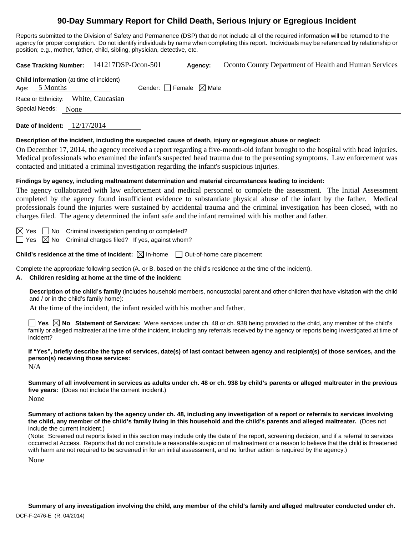# **90-Day Summary Report for Child Death, Serious Injury or Egregious Incident**

Reports submitted to the Division of Safety and Permanence (DSP) that do not include all of the required information will be returned to the agency for proper completion. Do not identify individuals by name when completing this report. Individuals may be referenced by relationship or position; e.g., mother, father, child, sibling, physician, detective, etc.

| position; e.g., mother, father, child, sibling, physician, detective, etc.                                                                                                                                                                                                                                                                                                                                                                                                                                                                                                                                                                                                                                                                 |  |  |  |  |
|--------------------------------------------------------------------------------------------------------------------------------------------------------------------------------------------------------------------------------------------------------------------------------------------------------------------------------------------------------------------------------------------------------------------------------------------------------------------------------------------------------------------------------------------------------------------------------------------------------------------------------------------------------------------------------------------------------------------------------------------|--|--|--|--|
| Oconto County Department of Health and Human Services<br>Case Tracking Number: 141217DSP-Ocon-501<br>Agency:                                                                                                                                                                                                                                                                                                                                                                                                                                                                                                                                                                                                                               |  |  |  |  |
| Child Information (at time of incident)<br>Age: 5 Months<br>Gender: Female $\boxtimes$ Male<br>Race or Ethnicity: White, Caucasian<br>Special Needs:<br>None                                                                                                                                                                                                                                                                                                                                                                                                                                                                                                                                                                               |  |  |  |  |
| Date of Incident: 12/17/2014                                                                                                                                                                                                                                                                                                                                                                                                                                                                                                                                                                                                                                                                                                               |  |  |  |  |
| Description of the incident, including the suspected cause of death, injury or egregious abuse or neglect:<br>On December 17, 2014, the agency received a report regarding a five-month-old infant brought to the hospital with head injuries.<br>Medical professionals who examined the infant's suspected head trauma due to the presenting symptoms. Law enforcement was<br>contacted and initiated a criminal investigation regarding the infant's suspicious injuries.                                                                                                                                                                                                                                                                |  |  |  |  |
| Findings by agency, including maltreatment determination and material circumstances leading to incident:<br>The agency collaborated with law enforcement and medical personnel to complete the assessment. The Initial Assessment<br>completed by the agency found insufficient evidence to substantiate physical abuse of the infant by the father. Medical<br>professionals found the injuries were sustained by accidental trauma and the criminal investigation has been closed, with no<br>charges filed. The agency determined the infant safe and the infant remained with his mother and father.                                                                                                                                   |  |  |  |  |
| $\boxtimes$ Yes $\Box$ No Criminal investigation pending or completed?<br>$\Box$ Yes $\boxtimes$ No Criminal charges filed? If yes, against whom?                                                                                                                                                                                                                                                                                                                                                                                                                                                                                                                                                                                          |  |  |  |  |
| <b>Child's residence at the time of incident:</b> $\boxtimes$ In-home $\Box$ Out-of-home care placement                                                                                                                                                                                                                                                                                                                                                                                                                                                                                                                                                                                                                                    |  |  |  |  |
| Complete the appropriate following section (A. or B. based on the child's residence at the time of the incident).<br>Children residing at home at the time of the incident:<br>А.                                                                                                                                                                                                                                                                                                                                                                                                                                                                                                                                                          |  |  |  |  |
| Description of the child's family (includes household members, noncustodial parent and other children that have visitation with the child<br>and / or in the child's family home):<br>At the time of the incident, the infant resided with his mother and father.                                                                                                                                                                                                                                                                                                                                                                                                                                                                          |  |  |  |  |
| Yes $\boxtimes$ No Statement of Services: Were services under ch. 48 or ch. 938 being provided to the child, any member of the child's<br>family or alleged maltreater at the time of the incident, including any referrals received by the agency or reports being investigated at time of<br>incident?                                                                                                                                                                                                                                                                                                                                                                                                                                   |  |  |  |  |
| If "Yes", briefly describe the type of services, date(s) of last contact between agency and recipient(s) of those services, and the<br>person(s) receiving those services:<br>N/A                                                                                                                                                                                                                                                                                                                                                                                                                                                                                                                                                          |  |  |  |  |
| Summary of all involvement in services as adults under ch. 48 or ch. 938 by child's parents or alleged maltreater in the previous<br>five years: (Does not include the current incident.)<br>None                                                                                                                                                                                                                                                                                                                                                                                                                                                                                                                                          |  |  |  |  |
| Summary of actions taken by the agency under ch. 48, including any investigation of a report or referrals to services involving<br>the child, any member of the child's family living in this household and the child's parents and alleged maltreater. (Does not<br>include the current incident.)<br>(Note: Screened out reports listed in this section may include only the date of the report, screening decision, and if a referral to services<br>occurred at Access. Reports that do not constitute a reasonable suspicion of maltreatment or a reason to believe that the child is threatened<br>with harm are not required to be screened in for an initial assessment, and no further action is required by the agency.)<br>None |  |  |  |  |